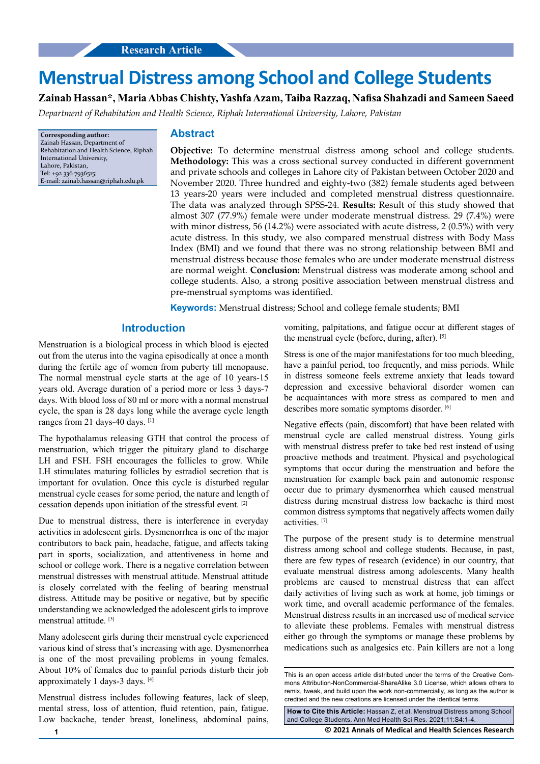# **Menstrual Distress among School and College Students**

## **Zainab Hassan\*, Maria Abbas Chishty, Yashfa Azam, Taiba Razzaq, Nafisa Shahzadi and Sameen Saeed**

*Department of Rehabitation and Health Science, Riphah International University, Lahore, Pakistan*

**Corresponding author:** Zainab Hassan, Department of Rehabitation and Health Science, Riphah International University, Lahore, Pakistan, Tel: +92 336 7936515; E-mail: [zainab.hassan@riphah.edu.pk](mailto:zainab.hassan@riphah.edu.pk)

#### **Abstract**

**Objective:** To determine menstrual distress among school and college students. **Methodology:** This was a cross sectional survey conducted in different government and private schools and colleges in Lahore city of Pakistan between October 2020 and November 2020. Three hundred and eighty-two (382) female students aged between 13 years-20 years were included and completed menstrual distress questionnaire. The data was analyzed through SPSS-24. **Results:** Result of this study showed that almost 307 (77.9%) female were under moderate menstrual distress. 29 (7.4%) were with minor distress, 56 (14.2%) were associated with acute distress, 2 (0.5%) with very acute distress. In this study, we also compared menstrual distress with Body Mass Index (BMI) and we found that there was no strong relationship between BMI and menstrual distress because those females who are under moderate menstrual distress are normal weight. **Conclusion:** Menstrual distress was moderate among school and college students. Also, a strong positive association between menstrual distress and pre-menstrual symptoms was identified.

**Keywords:** Menstrual distress; School and college female students; BMI

### **Introduction**

Menstruation is a biological process in which blood is ejected out from the uterus into the vagina episodically at once a month during the fertile age of women from puberty till menopause. The normal menstrual cycle starts at the age of 10 years-15 years old. Average duration of a period more or less 3 days-7 days. With blood loss of 80 ml or more with a normal menstrual cycle, the span is 28 days long while the average cycle length ranges from 21 days-40 days. [1]

The hypothalamus releasing GTH that control the process of menstruation, which trigger the pituitary gland to discharge LH and FSH. FSH encourages the follicles to grow. While LH stimulates maturing follicles by estradiol secretion that is important for ovulation. Once this cycle is disturbed regular menstrual cycle ceases for some period, the nature and length of cessation depends upon initiation of the stressful event. [2]

Due to menstrual distress, there is interference in everyday activities in adolescent girls. Dysmenorrhea is one of the major contributors to back pain, headache, fatigue, and affects taking part in sports, socialization, and attentiveness in home and school or college work. There is a negative correlation between menstrual distresses with menstrual attitude. Menstrual attitude is closely correlated with the feeling of bearing menstrual distress. Attitude may be positive or negative, but by specific understanding we acknowledged the adolescent girls to improve menstrual attitude. [3]

Many adolescent girls during their menstrual cycle experienced various kind of stress that's increasing with age. Dysmenorrhea is one of the most prevailing problems in young females. About 10% of females due to painful periods disturb their job approximately 1 days-3 days. [4]

Menstrual distress includes following features, lack of sleep, mental stress, loss of attention, fluid retention, pain, fatigue. Low backache, tender breast, loneliness, abdominal pains,

vomiting, palpitations, and fatigue occur at different stages of the menstrual cycle (before, during, after). [5]

Stress is one of the major manifestations for too much bleeding, have a painful period, too frequently, and miss periods. While in distress someone feels extreme anxiety that leads toward depression and excessive behavioral disorder women can be acquaintances with more stress as compared to men and describes more somatic symptoms disorder. [6]

Negative effects (pain, discomfort) that have been related with menstrual cycle are called menstrual distress. Young girls with menstrual distress prefer to take bed rest instead of using proactive methods and treatment. Physical and psychological symptoms that occur during the menstruation and before the menstruation for example back pain and autonomic response occur due to primary dysmenorrhea which caused menstrual distress during menstrual distress low backache is third most common distress symptoms that negatively affects women daily activities. [7]

The purpose of the present study is to determine menstrual distress among school and college students. Because, in past, there are few types of research (evidence) in our country, that evaluate menstrual distress among adolescents. Many health problems are caused to menstrual distress that can affect daily activities of living such as work at home, job timings or work time, and overall academic performance of the females. Menstrual distress results in an increased use of medical service to alleviate these problems. Females with menstrual distress either go through the symptoms or manage these problems by medications such as analgesics etc. Pain killers are not a long

**How to Cite this Article:** Hassan Z, et al. Menstrual Distress among School and College Students. Ann Med Health Sci Res. 2021;11:S4:1-4.

**1 © 2021 Annals of Medical and Health Sciences Research** 

This is an open access article distributed under the terms of the Creative Commons Attribution‑NonCommercial‑ShareAlike 3.0 License, which allows others to remix, tweak, and build upon the work non‑commercially, as long as the author is credited and the new creations are licensed under the identical terms.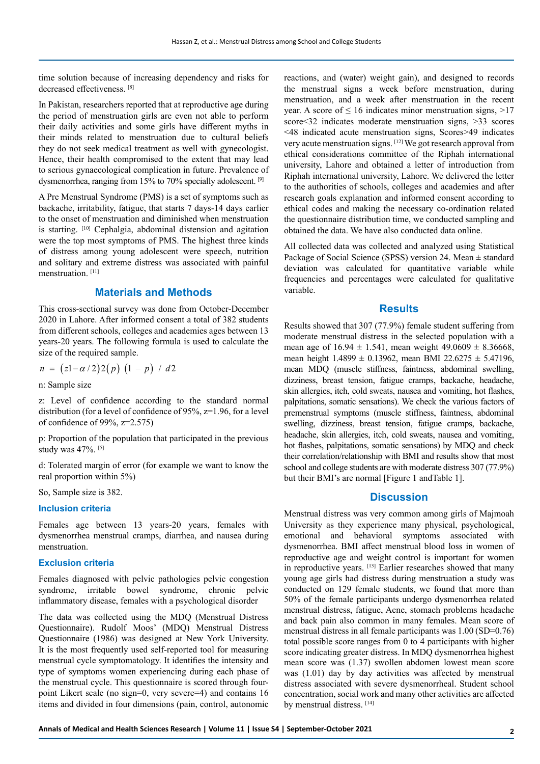time solution because of increasing dependency and risks for decreased effectiveness. [8]

In Pakistan, researchers reported that at reproductive age during the period of menstruation girls are even not able to perform their daily activities and some girls have different myths in their minds related to menstruation due to cultural beliefs they do not seek medical treatment as well with gynecologist. Hence, their health compromised to the extent that may lead to serious gynaecological complication in future. Prevalence of dysmenorrhea, ranging from 15% to 70% specially adolescent. [9]

A Pre Menstrual Syndrome (PMS) is a set of symptoms such as backache, irritability, fatigue, that starts 7 days-14 days earlier to the onset of menstruation and diminished when menstruation is starting. [10] Cephalgia, abdominal distension and agitation were the top most symptoms of PMS. The highest three kinds of distress among young adolescent were speech, nutrition and solitary and extreme distress was associated with painful menstruation.<sup>[11]</sup>

## **Materials and Methods**

This cross-sectional survey was done from October-December 2020 in Lahore. After informed consent a total of 382 students from different schools, colleges and academies ages between 13 years-20 years. The following formula is used to calculate the size of the required sample.

$$
n = (z1 - \alpha/2)2(p) (1 - p) / d2
$$

n: Sample size

z: Level of confidence according to the standard normal distribution (for a level of confidence of 95%, z=1.96, for a level of confidence of 99%, z=2.575)

p: Proportion of the population that participated in the previous study was 47%. [5]

d: Tolerated margin of error (for example we want to know the real proportion within 5%)

So, Sample size is 382.

#### **Inclusion criteria**

Females age between 13 years-20 years, females with dysmenorrhea menstrual cramps, diarrhea, and nausea during menstruation.

#### **Exclusion criteria**

Females diagnosed with pelvic pathologies pelvic congestion syndrome, irritable bowel syndrome, chronic pelvic inflammatory disease, females with a psychological disorder

The data was collected using the MDQ (Menstrual Distress Questionnaire). Rudolf Moos' (MDQ) Menstrual Distress Questionnaire (1986) was designed at New York University. It is the most frequently used self-reported tool for measuring menstrual cycle symptomatology. It identifies the intensity and type of symptoms women experiencing during each phase of the menstrual cycle. This questionnaire is scored through fourpoint Likert scale (no sign=0, very severe=4) and contains 16 items and divided in four dimensions (pain, control, autonomic

reactions, and (water) weight gain), and designed to records the menstrual signs a week before menstruation, during menstruation, and a week after menstruation in the recent year. A score of  $\leq 16$  indicates minor menstruation signs,  $>17$ score<32 indicates moderate menstruation signs, >33 scores <48 indicated acute menstruation signs, Scores>49 indicates very acute menstruation signs. [12] We got research approval from ethical considerations committee of the Riphah international university, Lahore and obtained a letter of introduction from Riphah international university, Lahore. We delivered the letter to the authorities of schools, colleges and academies and after research goals explanation and informed consent according to ethical codes and making the necessary co-ordination related the questionnaire distribution time, we conducted sampling and obtained the data. We have also conducted data online.

All collected data was collected and analyzed using Statistical Package of Social Science (SPSS) version 24. Mean ± standard deviation was calculated for quantitative variable while frequencies and percentages were calculated for qualitative variable.

#### **Results**

Results showed that 307 (77.9%) female student suffering from moderate menstrual distress in the selected population with a mean age of  $16.94 \pm 1.541$ , mean weight  $49.0609 \pm 8.36668$ , mean height  $1.4899 \pm 0.13962$ , mean BMI 22.6275  $\pm$  5.47196, mean MDQ (muscle stiffness, faintness, abdominal swelling, dizziness, breast tension, fatigue cramps, backache, headache, skin allergies, itch, cold sweats, nausea and vomiting, hot flashes, palpitations, somatic sensations). We check the various factors of premenstrual symptoms (muscle stiffness, faintness, abdominal swelling, dizziness, breast tension, fatigue cramps, backache, headache, skin allergies, itch, cold sweats, nausea and vomiting, hot flashes, palpitations, somatic sensations) by MDQ and check their correlation/relationship with BMI and results show that most school and college students are with moderate distress 307 (77.9%) but their BMI's are normal [Figure 1 andTable 1].

### **Discussion**

Menstrual distress was very common among girls of Majmoah University as they experience many physical, psychological, emotional and behavioral symptoms associated with dysmenorrhea. BMI affect menstrual blood loss in women of reproductive age and weight control is important for women in reproductive years. [13] Earlier researches showed that many young age girls had distress during menstruation a study was conducted on 129 female students, we found that more than 50% of the female participants undergo dysmenorrhea related menstrual distress, fatigue, Acne, stomach problems headache and back pain also common in many females. Mean score of menstrual distress in all female participants was 1.00 (SD=0.76) total possible score ranges from 0 to 4 participants with higher score indicating greater distress. In MDQ dysmenorrhea highest mean score was (1.37) swollen abdomen lowest mean score was (1.01) day by day activities was affected by menstrual distress associated with severe dysmenorrheal. Student school concentration, social work and many other activities are affected by menstrual distress. [14]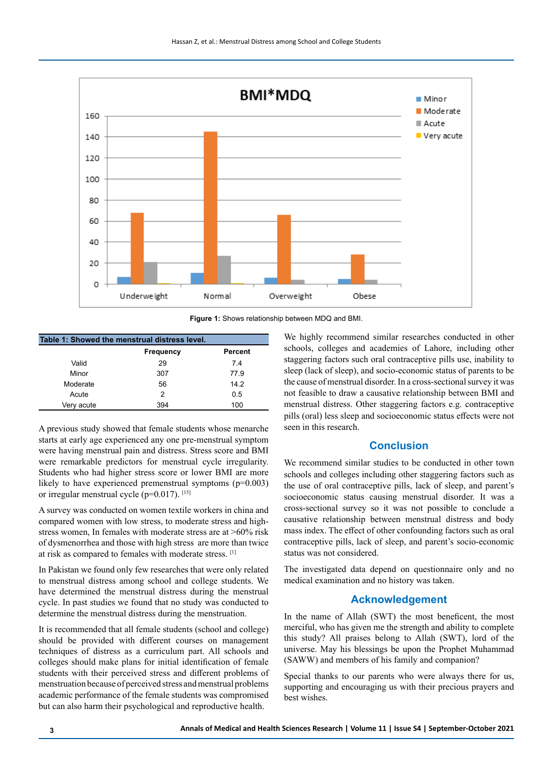

**Figure 1:** Shows relationship between MDQ and BMI.

| Table 1: Showed the menstrual distress level. |                  |                |
|-----------------------------------------------|------------------|----------------|
|                                               | <b>Frequency</b> | <b>Percent</b> |
| Valid                                         | 29               | 74             |
| Minor                                         | 307              | 77.9           |
| Moderate                                      | 56               | 142            |
| Acute                                         | 2                | 0.5            |
| Very acute                                    | 394              | 100            |

A previous study showed that female students whose menarche starts at early age experienced any one pre-menstrual symptom were having menstrual pain and distress. Stress score and BMI were remarkable predictors for menstrual cycle irregularity. Students who had higher stress score or lower BMI are more likely to have experienced premenstrual symptoms  $(p=0.003)$ or irregular menstrual cycle ( $p=0.017$ ). [15]

A survey was conducted on women textile workers in china and compared women with low stress, to moderate stress and highstress women, In females with moderate stress are at >60% risk of dysmenorrhea and those with high stress are more than twice at risk as compared to females with moderate stress. [1]

In Pakistan we found only few researches that were only related to menstrual distress among school and college students. We have determined the menstrual distress during the menstrual cycle. In past studies we found that no study was conducted to determine the menstrual distress during the menstruation.

It is recommended that all female students (school and college) should be provided with different courses on management techniques of distress as a curriculum part. All schools and colleges should make plans for initial identification of female students with their perceived stress and different problems of menstruation because of perceived stress and menstrual problems academic performance of the female students was compromised but can also harm their psychological and reproductive health.

We highly recommend similar researches conducted in other schools, colleges and academies of Lahore, including other staggering factors such oral contraceptive pills use, inability to sleep (lack of sleep), and socio-economic status of parents to be the cause of menstrual disorder. In a cross-sectional survey it was not feasible to draw a causative relationship between BMI and menstrual distress. Other staggering factors e.g. contraceptive pills (oral) less sleep and socioeconomic status effects were not seen in this research.

## **Conclusion**

We recommend similar studies to be conducted in other town schools and colleges including other staggering factors such as the use of oral contraceptive pills, lack of sleep, and parent's socioeconomic status causing menstrual disorder. It was a cross-sectional survey so it was not possible to conclude a causative relationship between menstrual distress and body mass index. The effect of other confounding factors such as oral contraceptive pills, lack of sleep, and parent's socio-economic status was not considered.

The investigated data depend on questionnaire only and no medical examination and no history was taken.

## **Acknowledgement**

In the name of Allah (SWT) the most beneficent, the most merciful, who has given me the strength and ability to complete this study? All praises belong to Allah (SWT), lord of the universe. May his blessings be upon the Prophet Muhammad (SAWW) and members of his family and companion?

Special thanks to our parents who were always there for us, supporting and encouraging us with their precious prayers and best wishes.